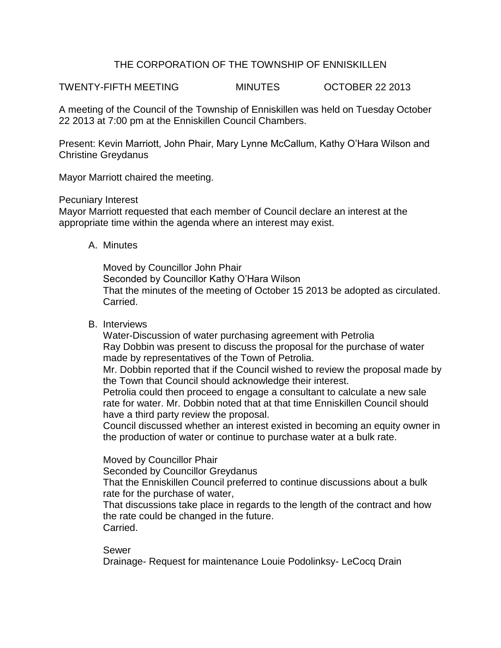## THE CORPORATION OF THE TOWNSHIP OF ENNISKILLEN

TWENTY-FIFTH MEETING MINUTES OCTOBER 22 2013

A meeting of the Council of the Township of Enniskillen was held on Tuesday October 22 2013 at 7:00 pm at the Enniskillen Council Chambers.

Present: Kevin Marriott, John Phair, Mary Lynne McCallum, Kathy O'Hara Wilson and Christine Greydanus

Mayor Marriott chaired the meeting.

Pecuniary Interest

Mayor Marriott requested that each member of Council declare an interest at the appropriate time within the agenda where an interest may exist.

A. Minutes

Moved by Councillor John Phair Seconded by Councillor Kathy O'Hara Wilson That the minutes of the meeting of October 15 2013 be adopted as circulated. Carried.

B. Interviews

Water-Discussion of water purchasing agreement with Petrolia Ray Dobbin was present to discuss the proposal for the purchase of water made by representatives of the Town of Petrolia.

Mr. Dobbin reported that if the Council wished to review the proposal made by the Town that Council should acknowledge their interest.

Petrolia could then proceed to engage a consultant to calculate a new sale rate for water. Mr. Dobbin noted that at that time Enniskillen Council should have a third party review the proposal.

Council discussed whether an interest existed in becoming an equity owner in the production of water or continue to purchase water at a bulk rate.

Moved by Councillor Phair

Seconded by Councillor Greydanus

That the Enniskillen Council preferred to continue discussions about a bulk rate for the purchase of water,

That discussions take place in regards to the length of the contract and how the rate could be changed in the future. Carried.

## Sewer

Drainage- Request for maintenance Louie Podolinksy- LeCocq Drain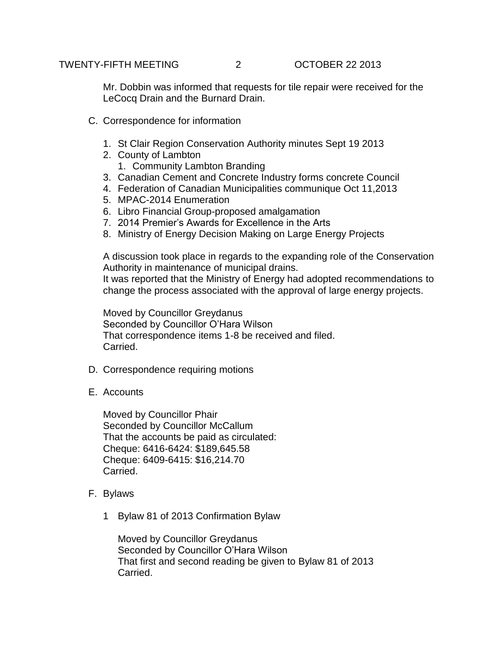Mr. Dobbin was informed that requests for tile repair were received for the LeCocq Drain and the Burnard Drain.

- C. Correspondence for information
	- 1. St Clair Region Conservation Authority minutes Sept 19 2013
	- 2. County of Lambton
		- 1. Community Lambton Branding
	- 3. Canadian Cement and Concrete Industry forms concrete Council
	- 4. Federation of Canadian Municipalities communique Oct 11,2013
	- 5. MPAC-2014 Enumeration
	- 6. Libro Financial Group-proposed amalgamation
	- 7. 2014 Premier's Awards for Excellence in the Arts
	- 8. Ministry of Energy Decision Making on Large Energy Projects

A discussion took place in regards to the expanding role of the Conservation Authority in maintenance of municipal drains.

It was reported that the Ministry of Energy had adopted recommendations to change the process associated with the approval of large energy projects.

Moved by Councillor Greydanus Seconded by Councillor O'Hara Wilson That correspondence items 1-8 be received and filed. Carried.

- D. Correspondence requiring motions
- E. Accounts

Moved by Councillor Phair Seconded by Councillor McCallum That the accounts be paid as circulated: Cheque: 6416-6424: \$189,645.58 Cheque: 6409-6415: \$16,214.70 Carried.

- F. Bylaws
	- 1 Bylaw 81 of 2013 Confirmation Bylaw

Moved by Councillor Greydanus Seconded by Councillor O'Hara Wilson That first and second reading be given to Bylaw 81 of 2013 Carried.